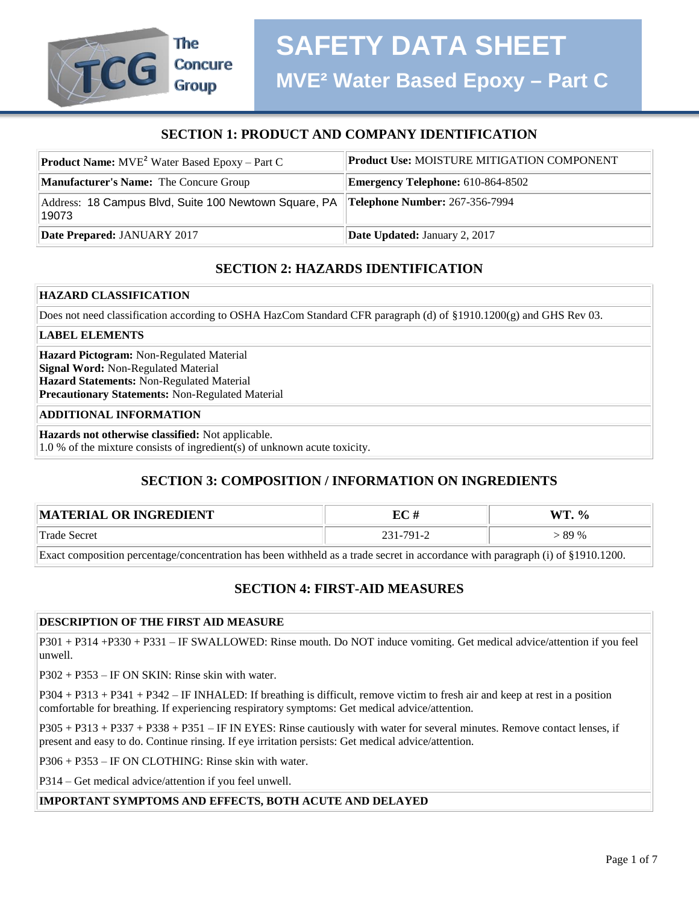# **SECTION 1: PRODUCT AND COMPANY IDENTIFICATION**

| <b>Product Name:</b> $MVE^{2}$ Water Based Epoxy – Part C                                     | <b>Product Use: MOISTURE MITIGATION COMPONENT</b> |
|-----------------------------------------------------------------------------------------------|---------------------------------------------------|
| <b>Manufacturer's Name:</b> The Concure Group                                                 | <b>Emergency Telephone: 610-864-8502</b>          |
| Address: 18 Campus Blvd, Suite 100 Newtown Square, PA Telephone Number: 267-356-7994<br>19073 |                                                   |
| Date Prepared: JANUARY 2017                                                                   | Date Updated: January 2, 2017                     |

# **SECTION 2: HAZARDS IDENTIFICATION**

#### **HAZARD CLASSIFICATION**

Does not need classification according to OSHA HazCom Standard CFR paragraph (d) of §1910.1200(g) and GHS Rev 03.

#### **LABEL ELEMENTS**

**Hazard Pictogram:** Non-Regulated Material **Signal Word:** Non-Regulated Material **Hazard Statements:** Non-Regulated Material **Precautionary Statements:** Non-Regulated Material

#### **ADDITIONAL INFORMATION**

**Hazards not otherwise classified:** Not applicable.

1.0 % of the mixture consists of ingredient(s) of unknown acute toxicity.

# **SECTION 3: COMPOSITION / INFORMATION ON INGREDIENTS**

| MATERIAL OR INGREDIENT                                                                                                         | EC#       | $WT. \%$ |
|--------------------------------------------------------------------------------------------------------------------------------|-----------|----------|
| Trade Secret                                                                                                                   | 231-791-2 | > 89 %   |
| Exact composition percentage/concentration has been withheld as a trade secret in accordance with paragraph (i) of §1910.1200. |           |          |

# **SECTION 4: FIRST-AID MEASURES**

#### **DESCRIPTION OF THE FIRST AID MEASURE**

P301 + P314 +P330 + P331 – IF SWALLOWED: Rinse mouth. Do NOT induce vomiting. Get medical advice/attention if you feel unwell.

P302 + P353 – IF ON SKIN: Rinse skin with water.

P304 + P313 + P341 + P342 – IF INHALED: If breathing is difficult, remove victim to fresh air and keep at rest in a position comfortable for breathing. If experiencing respiratory symptoms: Get medical advice/attention.

P305 + P313 + P337 + P338 + P351 – IF IN EYES: Rinse cautiously with water for several minutes. Remove contact lenses, if present and easy to do. Continue rinsing. If eye irritation persists: Get medical advice/attention.

P306 + P353 – IF ON CLOTHING: Rinse skin with water.

P314 – Get medical advice/attention if you feel unwell.

#### **IMPORTANT SYMPTOMS AND EFFECTS, BOTH ACUTE AND DELAYED**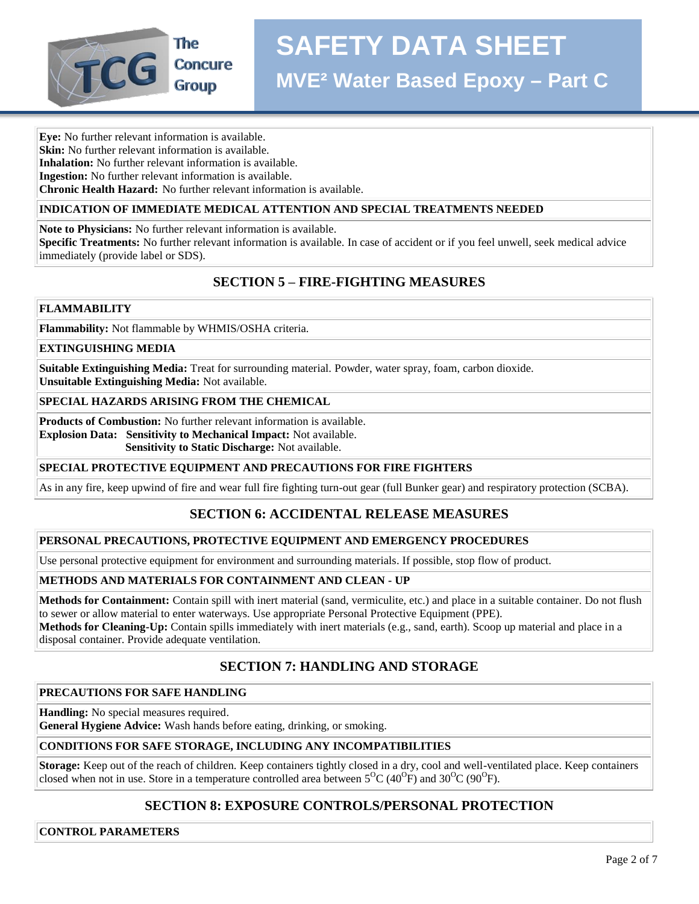

**Eye:** No further relevant information is available.

**Skin:** No further relevant information is available.

**Inhalation:** No further relevant information is available.

**Ingestion:** No further relevant information is available.

**Chronic Health Hazard:** No further relevant information is available.

#### **INDICATION OF IMMEDIATE MEDICAL ATTENTION AND SPECIAL TREATMENTS NEEDED**

**Note to Physicians:** No further relevant information is available.

**Specific Treatments:** No further relevant information is available. In case of accident or if you feel unwell, seek medical advice immediately (provide label or SDS).

# **SECTION 5 – FIRE-FIGHTING MEASURES**

#### **FLAMMABILITY**

**Flammability:** Not flammable by WHMIS/OSHA criteria.

#### **EXTINGUISHING MEDIA**

**Suitable Extinguishing Media:** Treat for surrounding material. Powder, water spray, foam, carbon dioxide. **Unsuitable Extinguishing Media:** Not available.

#### **SPECIAL HAZARDS ARISING FROM THE CHEMICAL**

**Products of Combustion:** No further relevant information is available.

**Explosion Data: Sensitivity to Mechanical Impact:** Not available.

 **Sensitivity to Static Discharge:** Not available.

#### **SPECIAL PROTECTIVE EQUIPMENT AND PRECAUTIONS FOR FIRE FIGHTERS**

As in any fire, keep upwind of fire and wear full fire fighting turn-out gear (full Bunker gear) and respiratory protection (SCBA).

# **SECTION 6: ACCIDENTAL RELEASE MEASURES**

#### **PERSONAL PRECAUTIONS, PROTECTIVE EQUIPMENT AND EMERGENCY PROCEDURES**

Use personal protective equipment for environment and surrounding materials. If possible, stop flow of product.

#### **METHODS AND MATERIALS FOR CONTAINMENT AND CLEAN - UP**

**Methods for Containment:** Contain spill with inert material (sand, vermiculite, etc.) and place in a suitable container. Do not flush to sewer or allow material to enter waterways. Use appropriate Personal Protective Equipment (PPE).

**Methods for Cleaning-Up:** Contain spills immediately with inert materials (e.g., sand, earth). Scoop up material and place in a disposal container. Provide adequate ventilation.

# **SECTION 7: HANDLING AND STORAGE**

#### **PRECAUTIONS FOR SAFE HANDLING**

**Handling:** No special measures required.

**General Hygiene Advice:** Wash hands before eating, drinking, or smoking.

# **CONDITIONS FOR SAFE STORAGE, INCLUDING ANY INCOMPATIBILITIES**

**Storage:** Keep out of the reach of children. Keep containers tightly closed in a dry, cool and well-ventilated place. Keep containers closed when not in use. Store in a temperature controlled area between  $5^{\circ}C(40^{\circ}F)$  and  $30^{\circ}C(90^{\circ}F)$ .

# **SECTION 8: EXPOSURE CONTROLS/PERSONAL PROTECTION**

**CONTROL PARAMETERS**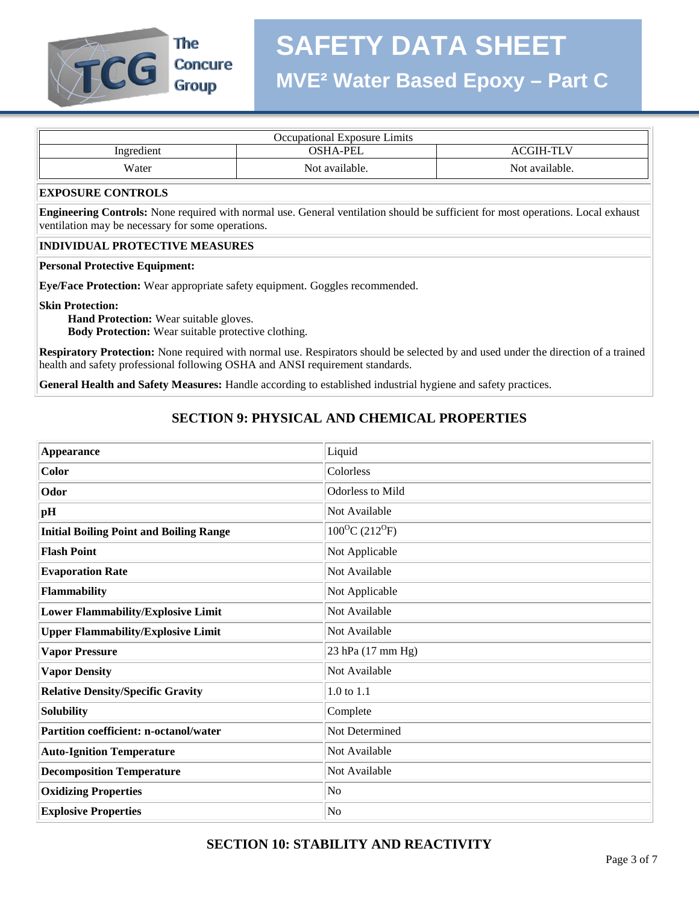

The **Concure Group** 

| Occupational Exposure Limits |                 |                  |
|------------------------------|-----------------|------------------|
| Ingredient                   | <b>OSHA-PEL</b> | <b>ACGIH-TLV</b> |
| Water                        | Not available.  | Not available.   |

#### **EXPOSURE CONTROLS**

**Engineering Controls:** None required with normal use. General ventilation should be sufficient for most operations. Local exhaust ventilation may be necessary for some operations.

#### **INDIVIDUAL PROTECTIVE MEASURES**

#### **Personal Protective Equipment:**

**Eye/Face Protection:** Wear appropriate safety equipment. Goggles recommended.

#### **Skin Protection:**

 **Hand Protection:** Wear suitable gloves.  **Body Protection:** Wear suitable protective clothing.

**Respiratory Protection:** None required with normal use. Respirators should be selected by and used under the direction of a trained health and safety professional following OSHA and ANSI requirement standards.

**General Health and Safety Measures:** Handle according to established industrial hygiene and safety practices.

# **SECTION 9: PHYSICAL AND CHEMICAL PROPERTIES**

| Appearance                                     | Liquid                       |
|------------------------------------------------|------------------------------|
| Color                                          | Colorless                    |
| Odor                                           | Odorless to Mild             |
| pH                                             | Not Available                |
| <b>Initial Boiling Point and Boiling Range</b> | $100^{\circ}C(212^{\circ}F)$ |
| <b>Flash Point</b>                             | Not Applicable               |
| <b>Evaporation Rate</b>                        | Not Available                |
| Flammability                                   | Not Applicable               |
| <b>Lower Flammability/Explosive Limit</b>      | Not Available                |
| <b>Upper Flammability/Explosive Limit</b>      | Not Available                |
| <b>Vapor Pressure</b>                          | 23 hPa (17 mm Hg)            |
| <b>Vapor Density</b>                           | Not Available                |
| <b>Relative Density/Specific Gravity</b>       | 1.0 to 1.1                   |
| Solubility                                     | Complete                     |
| <b>Partition coefficient: n-octanol/water</b>  | Not Determined               |
| <b>Auto-Ignition Temperature</b>               | Not Available                |
| <b>Decomposition Temperature</b>               | Not Available                |
| <b>Oxidizing Properties</b>                    | No                           |
| <b>Explosive Properties</b>                    | No                           |

# **SECTION 10: STABILITY AND REACTIVITY**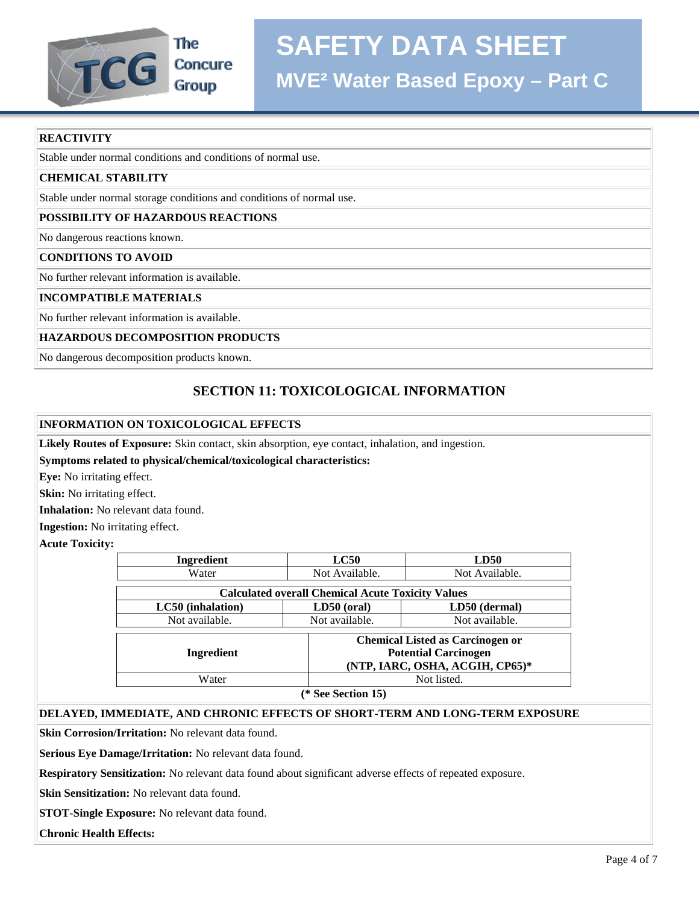

# **MVE² Water Based Epoxy – Part C**

#### **REACTIVITY**

Stable under normal conditions and conditions of normal use.

#### **CHEMICAL STABILITY**

Stable under normal storage conditions and conditions of normal use.

#### **POSSIBILITY OF HAZARDOUS REACTIONS**

No dangerous reactions known.

#### **CONDITIONS TO AVOID**

No further relevant information is available.

#### **INCOMPATIBLE MATERIALS**

No further relevant information is available.

#### **HAZARDOUS DECOMPOSITION PRODUCTS**

No dangerous decomposition products known.

# **SECTION 11: TOXICOLOGICAL INFORMATION**

#### **INFORMATION ON TOXICOLOGICAL EFFECTS**

**Likely Routes of Exposure:** Skin contact, skin absorption, eye contact, inhalation, and ingestion.

#### **Symptoms related to physical/chemical/toxicological characteristics:**

**Eye:** No irritating effect.

**Skin:** No irritating effect.

**Inhalation:** No relevant data found.

**Ingestion:** No irritating effect.

**Acute Toxicity:**

| Ingredient                                               | LC50           | LD50                                                                                                      |  |
|----------------------------------------------------------|----------------|-----------------------------------------------------------------------------------------------------------|--|
| Water                                                    | Not Available. | Not Available.                                                                                            |  |
| <b>Calculated overall Chemical Acute Toxicity Values</b> |                |                                                                                                           |  |
| LC50 (inhalation)                                        | $LD50$ (oral)  | LD50 (dermal)                                                                                             |  |
| Not available.                                           | Not available. | Not available.                                                                                            |  |
| Ingredient                                               |                | <b>Chemical Listed as Carcinogen or</b><br><b>Potential Carcinogen</b><br>(NTP, IARC, OSHA, ACGIH, CP65)* |  |
| Water                                                    |                | Not listed.                                                                                               |  |
| (* See Section 15)                                       |                |                                                                                                           |  |

#### **DELAYED, IMMEDIATE, AND CHRONIC EFFECTS OF SHORT-TERM AND LONG-TERM EXPOSURE**

**Skin Corrosion/Irritation:** No relevant data found.

**Serious Eye Damage/Irritation:** No relevant data found.

**Respiratory Sensitization:** No relevant data found about significant adverse effects of repeated exposure.

**Skin Sensitization:** No relevant data found.

**STOT-Single Exposure:** No relevant data found.

#### **Chronic Health Effects:**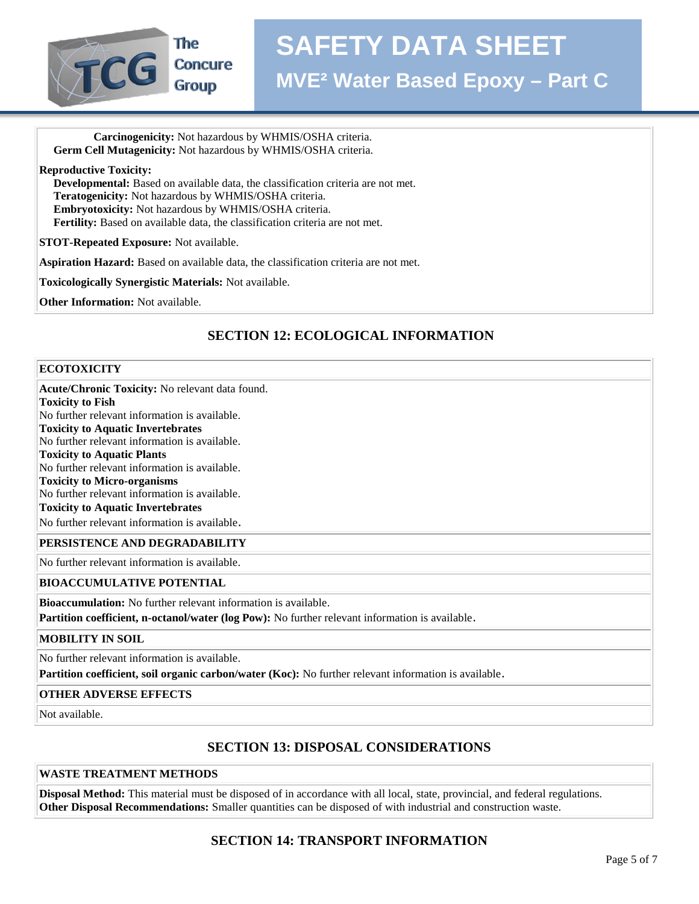

 **Carcinogenicity:** Not hazardous by WHMIS/OSHA criteria.  **Germ Cell Mutagenicity:** Not hazardous by WHMIS/OSHA criteria.

**Reproductive Toxicity:**

 **Developmental:** Based on available data, the classification criteria are not met.  **Teratogenicity:** Not hazardous by WHMIS/OSHA criteria.  **Embryotoxicity:** Not hazardous by WHMIS/OSHA criteria.  **Fertility:** Based on available data, the classification criteria are not met.

**STOT-Repeated Exposure:** Not available.

**Aspiration Hazard:** Based on available data, the classification criteria are not met.

**Toxicologically Synergistic Materials:** Not available.

**Other Information:** Not available.

# **SECTION 12: ECOLOGICAL INFORMATION**

#### **ECOTOXICITY**

**Acute/Chronic Toxicity:** No relevant data found.

**Toxicity to Fish**

No further relevant information is available. **Toxicity to Aquatic Invertebrates**

No further relevant information is available.

**Toxicity to Aquatic Plants**

No further relevant information is available.

**Toxicity to Micro-organisms**

No further relevant information is available.

### **Toxicity to Aquatic Invertebrates**

No further relevant information is available.

#### **PERSISTENCE AND DEGRADABILITY**

No further relevant information is available.

#### **BIOACCUMULATIVE POTENTIAL**

**Bioaccumulation:** No further relevant information is available.

**Partition coefficient, n-octanol/water (log Pow):** No further relevant information is available.

#### **MOBILITY IN SOIL**

No further relevant information is available.

**Partition coefficient, soil organic carbon/water (Koc):** No further relevant information is available.

#### **OTHER ADVERSE EFFECTS**

Not available.

# **SECTION 13: DISPOSAL CONSIDERATIONS**

#### **WASTE TREATMENT METHODS**

**Disposal Method:** This material must be disposed of in accordance with all local, state, provincial, and federal regulations. **Other Disposal Recommendations:** Smaller quantities can be disposed of with industrial and construction waste.

# **SECTION 14: TRANSPORT INFORMATION**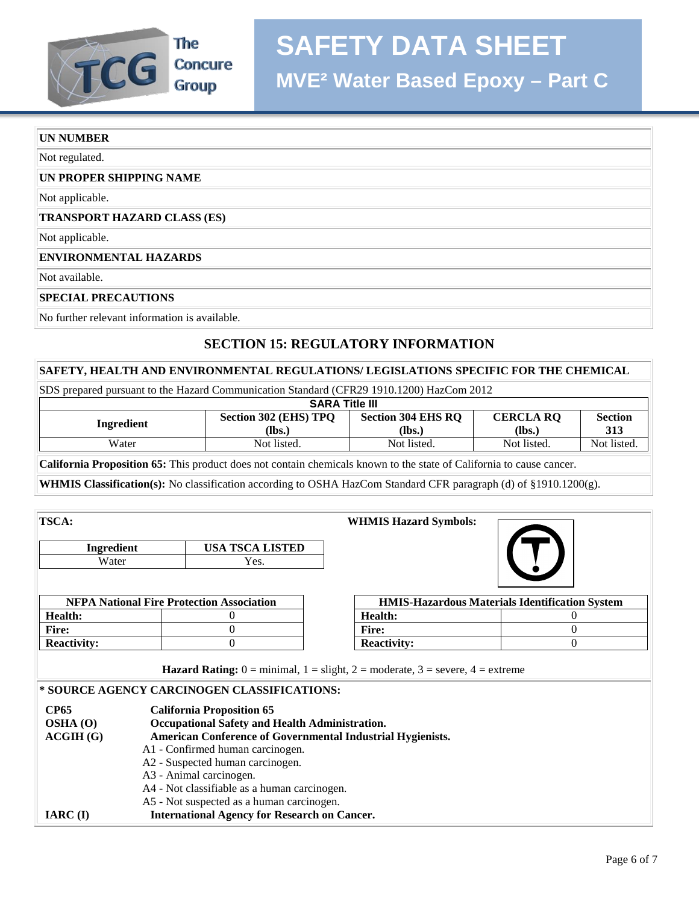# **SAFETY DATA SHEET**



**MVE² Water Based Epoxy – Part C**

#### **UN NUMBER**

Not regulated.

#### **UN PROPER SHIPPING NAME**

Not applicable.

#### **TRANSPORT HAZARD CLASS (ES)**

Not applicable.

#### **ENVIRONMENTAL HAZARDS**

Not available.

#### **SPECIAL PRECAUTIONS**

No further relevant information is available.

# **SECTION 15: REGULATORY INFORMATION**

#### **SAFETY, HEALTH AND ENVIRONMENTAL REGULATIONS/ LEGISLATIONS SPECIFIC FOR THE CHEMICAL**

| SDS prepared pursuant to the Hazard Communication Standard (CFR29 1910.1200) HazCom 2012                                    |                       |                           |                  |                |
|-----------------------------------------------------------------------------------------------------------------------------|-----------------------|---------------------------|------------------|----------------|
| <b>SARA Title III</b>                                                                                                       |                       |                           |                  |                |
| Ingredient                                                                                                                  | Section 302 (EHS) TPO | <b>Section 304 EHS RQ</b> | <b>CERCLA RQ</b> | <b>Section</b> |
|                                                                                                                             | (lbs.)                | (Ibs.)                    | (lbs.)           | 313            |
| Water                                                                                                                       | Not listed.           | Not listed.               | Not listed.      | Not listed.    |
| <b>California Proposition 65:</b> This product does not contain chemicals known to the state of California to cause cancer. |                       |                           |                  |                |

**WHMIS Classification(s):** No classification according to OSHA HazCom Standard CFR paragraph (d) of §1910.1200(g).

| <b>TSCA:</b>                                                                                                                    |                                                  | <b>WHMIS Hazard Symbols:</b>                                                                                                          |                                                       |
|---------------------------------------------------------------------------------------------------------------------------------|--------------------------------------------------|---------------------------------------------------------------------------------------------------------------------------------------|-------------------------------------------------------|
| Ingredient                                                                                                                      | <b>USA TSCA LISTED</b>                           |                                                                                                                                       |                                                       |
| Water                                                                                                                           | Yes.                                             |                                                                                                                                       |                                                       |
|                                                                                                                                 |                                                  |                                                                                                                                       |                                                       |
|                                                                                                                                 | <b>NFPA National Fire Protection Association</b> |                                                                                                                                       | <b>HMIS-Hazardous Materials Identification System</b> |
| <b>Health:</b>                                                                                                                  |                                                  | <b>Health:</b>                                                                                                                        | 0                                                     |
| <b>Fire:</b>                                                                                                                    | $\theta$                                         | <b>Fire:</b>                                                                                                                          | 0                                                     |
| <b>Reactivity:</b>                                                                                                              | $\Omega$                                         | <b>Reactivity:</b>                                                                                                                    | $\Omega$                                              |
|                                                                                                                                 | * SOURCE AGENCY CARCINOGEN CLASSIFICATIONS:      | <b>Hazard Rating:</b> $0 = \text{minimal}$ , $1 = \text{slight}$ , $2 = \text{moderate}$ , $3 = \text{severe}$ , $4 = \text{extreme}$ |                                                       |
| <b>CP65</b>                                                                                                                     | <b>California Proposition 65</b>                 |                                                                                                                                       |                                                       |
| Occupational Safety and Health Administration.<br><b>OSHA</b> (O)<br>American Conference of Governmental Industrial Hygienists. |                                                  |                                                                                                                                       |                                                       |
| ACGIH(G)                                                                                                                        | A1 - Confirmed human carcinogen.                 |                                                                                                                                       |                                                       |
|                                                                                                                                 | A2 - Suspected human carcinogen.                 |                                                                                                                                       |                                                       |

- A3 Animal carcinogen.
- A4 Not classifiable as a human carcinogen.
- A5 Not suspected as a human carcinogen.
- **IARC (I) International Agency for Research on Cancer.**